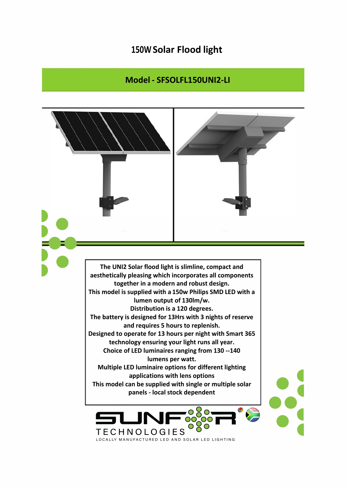## **150W Solar Flood light**

## **Model - SFSOLFL150UNI2-LI**

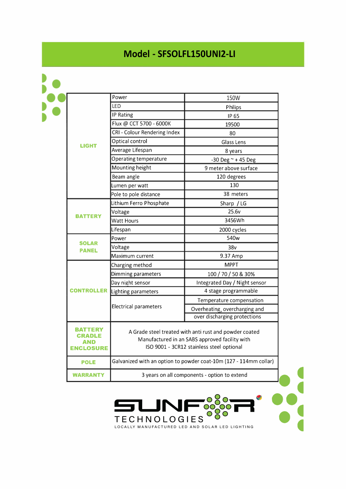## **Model - SFSOLFL150UNI2-LI**

| <b>LIGHT</b>                                | Power                                                                                                                                                 | 150W                          |
|---------------------------------------------|-------------------------------------------------------------------------------------------------------------------------------------------------------|-------------------------------|
|                                             | <b>LED</b>                                                                                                                                            | Philips                       |
|                                             | <b>IP Rating</b>                                                                                                                                      | IP 65                         |
|                                             | Flux @ CCT 5700 - 6000K                                                                                                                               | 19500                         |
|                                             | CRI - Colour Rendering Index                                                                                                                          | 80                            |
|                                             | Optical control                                                                                                                                       | Glass Lens                    |
|                                             | Average Lifespan                                                                                                                                      | 8 years                       |
|                                             | <b>Operating temperature</b>                                                                                                                          | $-30$ Deg $\sim$ +45 Deg      |
|                                             | Mounting height                                                                                                                                       | 9 meter above surface         |
|                                             | Beam angle                                                                                                                                            | 120 degrees                   |
|                                             | Lumen per watt                                                                                                                                        | 130                           |
|                                             | Pole to pole distance                                                                                                                                 | 38 meters                     |
| <b>BATTERY</b>                              | Lithium Ferro Phosphate                                                                                                                               | Sharp / LG                    |
|                                             | Voltage                                                                                                                                               | 25.6v                         |
|                                             | <b>Watt Hours</b>                                                                                                                                     | 3456Wh                        |
|                                             | Lifespan                                                                                                                                              | 2000 cycles                   |
| <b>SOLAR</b><br><b>PANEL</b>                | Power                                                                                                                                                 | 540w                          |
|                                             | Voltage                                                                                                                                               | 38v                           |
|                                             | Maximum current                                                                                                                                       | 9.37 Amp                      |
| <b>CONTROLLER</b>                           | Charging method                                                                                                                                       | <b>MPPT</b>                   |
|                                             | Dimming parameters                                                                                                                                    | 100 / 70 / 50 & 30%           |
|                                             | Day night sensor                                                                                                                                      | Integrated Day / Night sensor |
|                                             | Lighting parameters                                                                                                                                   | 4 stage programmable          |
|                                             | <b>Electrical parameters</b>                                                                                                                          | Temperature compensation      |
|                                             |                                                                                                                                                       | Overheating, overcharging and |
|                                             |                                                                                                                                                       | over discharging protections  |
| eveni Sev<br>мон<br>AND<br><b>ENCLOSURE</b> | A Grade steel treated with anti rust and powder coated<br>Manufactured in an SABS approved facility with<br>ISO 9001 - 3CR12 stainless steel optional |                               |
| <b>POLE</b>                                 | Galvanized with an option to powder coat-10m (127 - 114mm collar)                                                                                     |                               |
| <b>WARRANTY</b>                             | 3 years on all components - option to extend                                                                                                          |                               |

••• •• **t** 

TECHNOLOGIES OCO - -

LJN

J